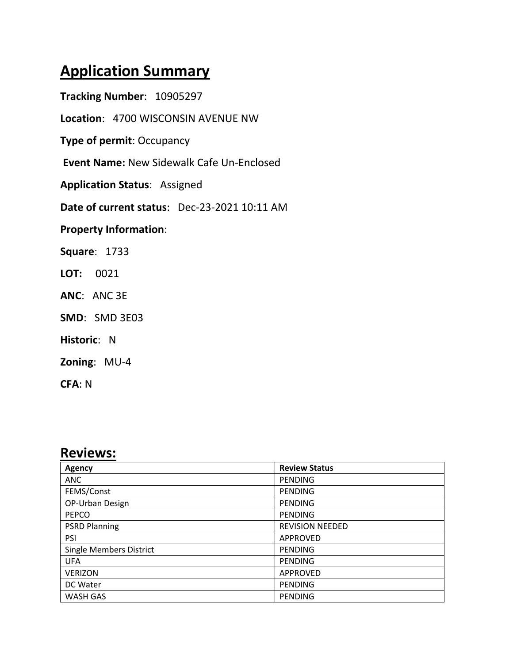## **Application Summary**

**Tracking Number**: 10905297

**Location**: 4700 WISCONSIN AVENUE NW

**Type of permit**: Occupancy

**Event Name:** New Sidewalk Cafe Un-Enclosed

**Application Status**: Assigned

**Date of current status**: Dec-23-2021 10:11 AM

#### **Property Information**:

**Square**: 1733

- **LOT:** 0021
- **ANC**: ANC 3E
- **SMD**: SMD 3E03
- **Historic**: N
- **Zoning**: MU-4

**CFA**: N

#### **Reviews:**

| <b>Agency</b>                  | <b>Review Status</b>   |
|--------------------------------|------------------------|
| <b>ANC</b>                     | <b>PENDING</b>         |
| FEMS/Const                     | <b>PENDING</b>         |
| OP-Urban Design                | <b>PENDING</b>         |
| <b>PEPCO</b>                   | <b>PENDING</b>         |
| <b>PSRD Planning</b>           | <b>REVISION NEEDED</b> |
| <b>PSI</b>                     | APPROVED               |
| <b>Single Members District</b> | <b>PENDING</b>         |
| <b>UFA</b>                     | <b>PENDING</b>         |
| <b>VERIZON</b>                 | APPROVED               |
| DC Water                       | <b>PENDING</b>         |
| <b>WASH GAS</b>                | <b>PENDING</b>         |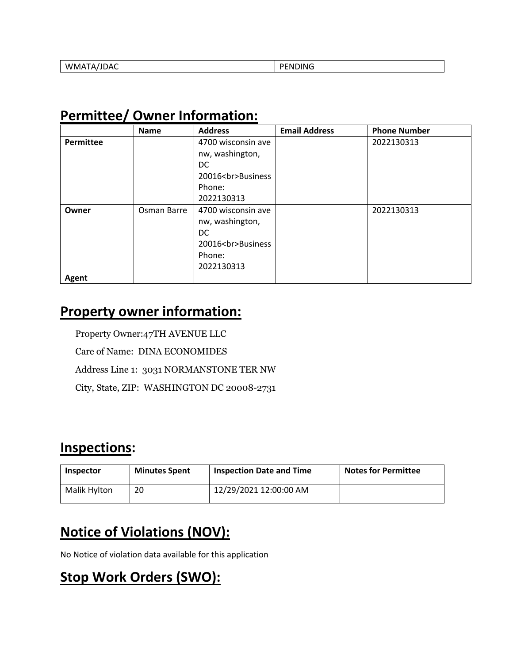| IDAC<br>WM.<br>л<br>$\overline{\phantom{a}}$ | .<br>nг<br>NNC<br>N |
|----------------------------------------------|---------------------|
|----------------------------------------------|---------------------|

|  | <b>Permittee/ Owner Information:</b> |
|--|--------------------------------------|
|  |                                      |

|           | <b>Name</b> | <b>Address</b>     | <b>Email Address</b> | <b>Phone Number</b> |
|-----------|-------------|--------------------|----------------------|---------------------|
| Permittee |             | 4700 wisconsin ave |                      | 2022130313          |
|           |             | nw, washington,    |                      |                     |
|           |             | DC.                |                      |                     |
|           |             | 20016<br>Business  |                      |                     |
|           |             | Phone:             |                      |                     |
|           |             | 2022130313         |                      |                     |
| Owner     | Osman Barre | 4700 wisconsin ave |                      | 2022130313          |
|           |             | nw, washington,    |                      |                     |
|           |             | DC.                |                      |                     |
|           |             | 20016<br>Business  |                      |                     |
|           |             | Phone:             |                      |                     |
|           |             | 2022130313         |                      |                     |
| Agent     |             |                    |                      |                     |

#### **Property owner information:**

Property Owner:47TH AVENUE LLC Care of Name: DINA ECONOMIDES Address Line 1: 3031 NORMANSTONE TER NW City, State, ZIP: WASHINGTON DC 20008-2731

#### **Inspections:**

| <b>Inspector</b> | <b>Minutes Spent</b> | <b>Inspection Date and Time</b> | <b>Notes for Permittee</b> |
|------------------|----------------------|---------------------------------|----------------------------|
| Malik Hylton     | 20                   | 12/29/2021 12:00:00 AM          |                            |

#### **Notice of Violations (NOV):**

No Notice of violation data available for this application

### **Stop Work Orders (SWO):**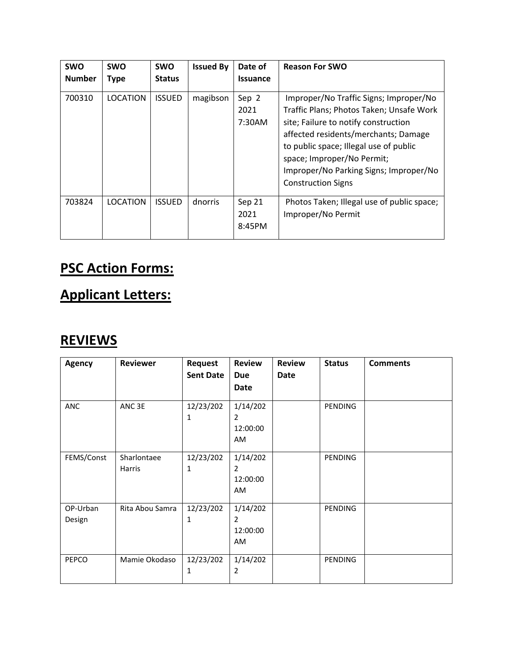| <b>SWO</b><br><b>Number</b> | <b>SWO</b><br><b>Type</b> | <b>SWO</b><br><b>Status</b> | <b>Issued By</b> | Date of<br><b>Issuance</b> | <b>Reason For SWO</b>                                                                                                                                                                                                                                                                                             |
|-----------------------------|---------------------------|-----------------------------|------------------|----------------------------|-------------------------------------------------------------------------------------------------------------------------------------------------------------------------------------------------------------------------------------------------------------------------------------------------------------------|
| 700310                      | <b>LOCATION</b>           | <b>ISSUED</b>               | magibson         | Sep 2<br>2021<br>7:30AM    | Improper/No Traffic Signs; Improper/No<br>Traffic Plans; Photos Taken; Unsafe Work<br>site; Failure to notify construction<br>affected residents/merchants; Damage<br>to public space; Illegal use of public<br>space; Improper/No Permit;<br>Improper/No Parking Signs; Improper/No<br><b>Construction Signs</b> |
| 703824                      | LOCATION                  | <b>ISSUED</b>               | dnorris          | Sep 21<br>2021<br>8:45PM   | Photos Taken; Illegal use of public space;<br>Improper/No Permit                                                                                                                                                                                                                                                  |

## **PSC Action Forms:**

## **Applicant Letters:**

## **REVIEWS**

| <b>Agency</b>      | <b>Reviewer</b>       | <b>Request</b><br><b>Sent Date</b> | <b>Review</b><br><b>Due</b><br>Date | <b>Review</b><br>Date | <b>Status</b>  | <b>Comments</b> |
|--------------------|-----------------------|------------------------------------|-------------------------------------|-----------------------|----------------|-----------------|
| ANC                | ANC 3E                | 12/23/202<br>1                     | 1/14/202<br>2<br>12:00:00<br>AM     |                       | <b>PENDING</b> |                 |
| FEMS/Const         | Sharlontaee<br>Harris | 12/23/202<br>1                     | 1/14/202<br>2<br>12:00:00<br>AM     |                       | PENDING        |                 |
| OP-Urban<br>Design | Rita Abou Samra       | 12/23/202<br>1                     | 1/14/202<br>2<br>12:00:00<br>AM     |                       | <b>PENDING</b> |                 |
| <b>PEPCO</b>       | Mamie Okodaso         | 12/23/202<br>1                     | 1/14/202<br>2                       |                       | PENDING        |                 |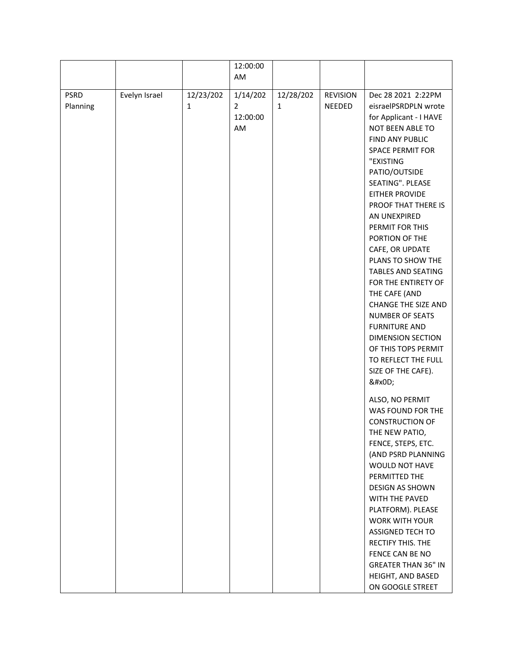|                         |               |                           | 12:00:00                        |                           |                                  |                                                                                                                                                                                                                                                                                                                                                                                                                   |
|-------------------------|---------------|---------------------------|---------------------------------|---------------------------|----------------------------------|-------------------------------------------------------------------------------------------------------------------------------------------------------------------------------------------------------------------------------------------------------------------------------------------------------------------------------------------------------------------------------------------------------------------|
|                         |               |                           | AM                              |                           |                                  |                                                                                                                                                                                                                                                                                                                                                                                                                   |
| <b>PSRD</b><br>Planning | Evelyn Israel | 12/23/202<br>$\mathbf{1}$ | 1/14/202<br>2<br>12:00:00<br>AM | 12/28/202<br>$\mathbf{1}$ | <b>REVISION</b><br><b>NEEDED</b> | Dec 28 2021 2:22PM<br>eisraelPSRDPLN wrote<br>for Applicant - I HAVE<br>NOT BEEN ABLE TO<br>FIND ANY PUBLIC<br><b>SPACE PERMIT FOR</b><br>"EXISTING<br>PATIO/OUTSIDE<br>SEATING". PLEASE<br>EITHER PROVIDE<br>PROOF THAT THERE IS                                                                                                                                                                                 |
|                         |               |                           |                                 |                           |                                  | AN UNEXPIRED<br>PERMIT FOR THIS<br>PORTION OF THE<br>CAFE, OR UPDATE<br>PLANS TO SHOW THE<br><b>TABLES AND SEATING</b><br>FOR THE ENTIRETY OF<br>THE CAFE (AND<br><b>CHANGE THE SIZE AND</b><br><b>NUMBER OF SEATS</b><br><b>FURNITURE AND</b><br><b>DIMENSION SECTION</b><br>OF THIS TOPS PERMIT<br>TO REFLECT THE FULL<br>SIZE OF THE CAFE).<br>                                                                |
|                         |               |                           |                                 |                           |                                  | ALSO, NO PERMIT<br>WAS FOUND FOR THE<br><b>CONSTRUCTION OF</b><br>THE NEW PATIO,<br>FENCE, STEPS, ETC.<br>(AND PSRD PLANNING<br><b>WOULD NOT HAVE</b><br>PERMITTED THE<br><b>DESIGN AS SHOWN</b><br>WITH THE PAVED<br>PLATFORM). PLEASE<br><b>WORK WITH YOUR</b><br><b>ASSIGNED TECH TO</b><br><b>RECTIFY THIS. THE</b><br>FENCE CAN BE NO<br><b>GREATER THAN 36" IN</b><br>HEIGHT, AND BASED<br>ON GOOGLE STREET |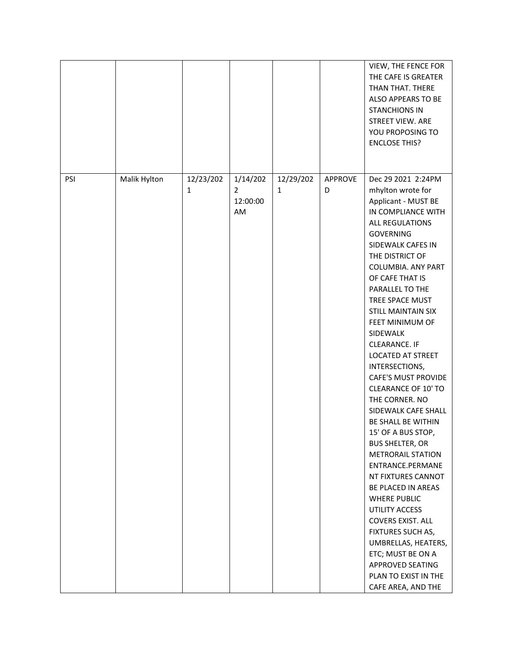|     |              |                |                                              |                |              | VIEW, THE FENCE FOR<br>THE CAFE IS GREATER<br>THAN THAT. THERE<br>ALSO APPEARS TO BE<br><b>STANCHIONS IN</b><br>STREET VIEW. ARE<br>YOU PROPOSING TO<br><b>ENCLOSE THIS?</b>                                                                                                                                                                                                                                                                                                                                                                                                                                                                                                                                                                                                                                                                                 |
|-----|--------------|----------------|----------------------------------------------|----------------|--------------|--------------------------------------------------------------------------------------------------------------------------------------------------------------------------------------------------------------------------------------------------------------------------------------------------------------------------------------------------------------------------------------------------------------------------------------------------------------------------------------------------------------------------------------------------------------------------------------------------------------------------------------------------------------------------------------------------------------------------------------------------------------------------------------------------------------------------------------------------------------|
| PSI | Malik Hylton | 12/23/202<br>1 | 1/14/202<br>$\overline{2}$<br>12:00:00<br>AM | 12/29/202<br>1 | APPROVE<br>D | Dec 29 2021 2:24PM<br>mhylton wrote for<br>Applicant - MUST BE<br>IN COMPLIANCE WITH<br>ALL REGULATIONS<br><b>GOVERNING</b><br>SIDEWALK CAFES IN<br>THE DISTRICT OF<br>COLUMBIA. ANY PART<br>OF CAFE THAT IS<br>PARALLEL TO THE<br>TREE SPACE MUST<br><b>STILL MAINTAIN SIX</b><br>FEET MINIMUM OF<br>SIDEWALK<br><b>CLEARANCE. IF</b><br>LOCATED AT STREET<br>INTERSECTIONS,<br><b>CAFE'S MUST PROVIDE</b><br><b>CLEARANCE OF 10' TO</b><br>THE CORNER. NO<br>SIDEWALK CAFE SHALL<br>BE SHALL BE WITHIN<br>15' OF A BUS STOP,<br><b>BUS SHELTER, OR</b><br><b>METRORAIL STATION</b><br>ENTRANCE.PERMANE<br>NT FIXTURES CANNOT<br>BE PLACED IN AREAS<br><b>WHERE PUBLIC</b><br>UTILITY ACCESS<br><b>COVERS EXIST. ALL</b><br>FIXTURES SUCH AS,<br>UMBRELLAS, HEATERS,<br>ETC; MUST BE ON A<br>APPROVED SEATING<br>PLAN TO EXIST IN THE<br>CAFE AREA, AND THE |